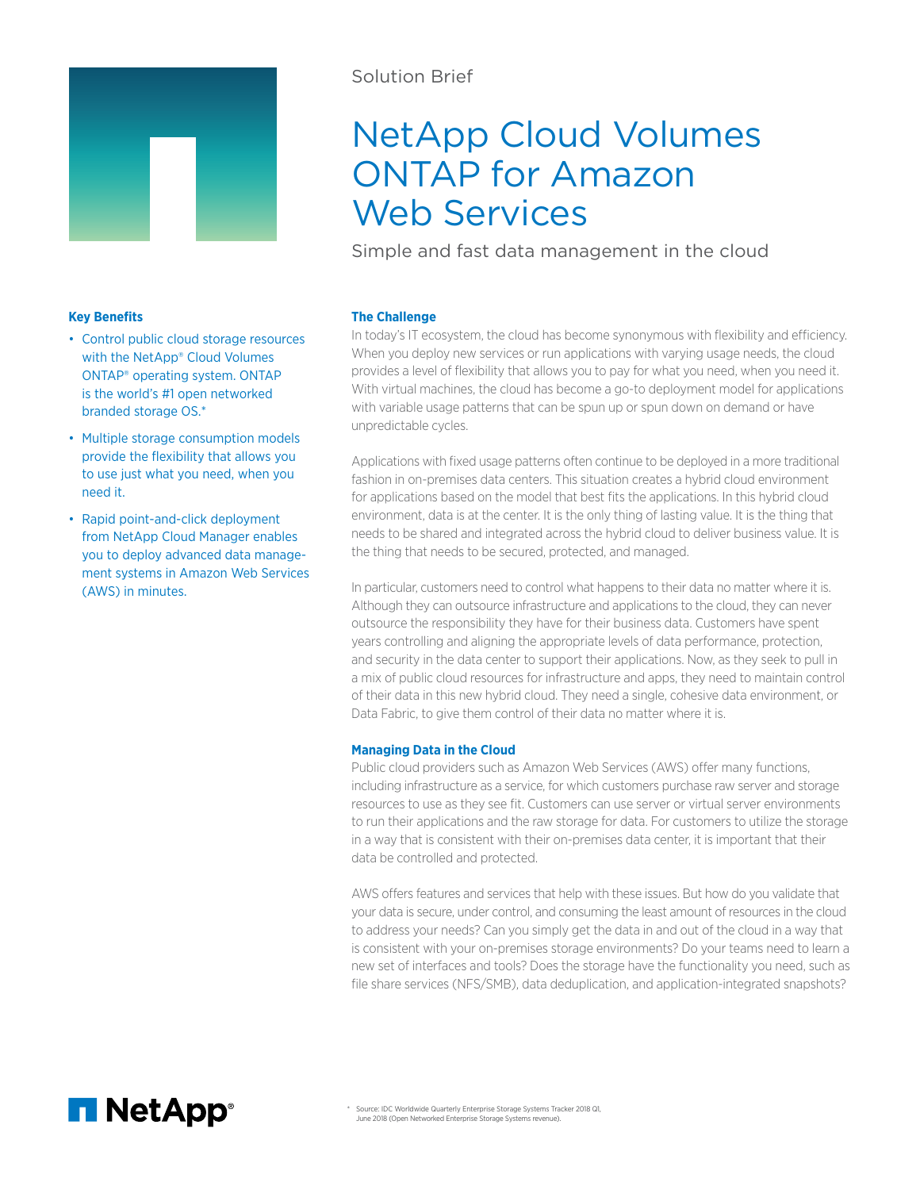

# Solution Brief

# NetApp Cloud Volumes ONTAP for Amazon Web Services

Simple and fast data management in the cloud

# **Key Benefits**

- Control public cloud storage resources with the NetApp® Cloud Volumes ONTAP® operating system. ONTAP is the world's #1 open networked branded storage OS.\*
- Multiple storage consumption models provide the flexibility that allows you to use just what you need, when you need it.
- Rapid point-and-click deployment from NetApp Cloud Manager enables you to deploy advanced data management systems in Amazon Web Services (AWS) in minutes.

# **The Challenge**

In today's IT ecosystem, the cloud has become synonymous with flexibility and efficiency. When you deploy new services or run applications with varying usage needs, the cloud provides a level of flexibility that allows you to pay for what you need, when you need it. With virtual machines, the cloud has become a go-to deployment model for applications with variable usage patterns that can be spun up or spun down on demand or have unpredictable cycles.

Applications with fixed usage patterns often continue to be deployed in a more traditional fashion in on-premises data centers. This situation creates a hybrid cloud environment for applications based on the model that best fits the applications. In this hybrid cloud environment, data is at the center. It is the only thing of lasting value. It is the thing that needs to be shared and integrated across the hybrid cloud to deliver business value. It is the thing that needs to be secured, protected, and managed.

In particular, customers need to control what happens to their data no matter where it is. Although they can outsource infrastructure and applications to the cloud, they can never outsource the responsibility they have for their business data. Customers have spent years controlling and aligning the appropriate levels of data performance, protection, and security in the data center to support their applications. Now, as they seek to pull in a mix of public cloud resources for infrastructure and apps, they need to maintain control of their data in this new hybrid cloud. They need a single, cohesive data environment, or Data Fabric, to give them control of their data no matter where it is.

# **Managing Data in the Cloud**

Public cloud providers such as Amazon Web Services (AWS) offer many functions, including infrastructure as a service, for which customers purchase raw server and storage resources to use as they see fit. Customers can use server or virtual server environments to run their applications and the raw storage for data. For customers to utilize the storage in a way that is consistent with their on-premises data center, it is important that their data be controlled and protected.

AWS offers features and services that help with these issues. But how do you validate that your data is secure, under control, and consuming the least amount of resources in the cloud to address your needs? Can you simply get the data in and out of the cloud in a way that is consistent with your on-premises storage environments? Do your teams need to learn a new set of interfaces and tools? Does the storage have the functionality you need, such as file share services (NFS/SMB), data deduplication, and application-integrated snapshots?

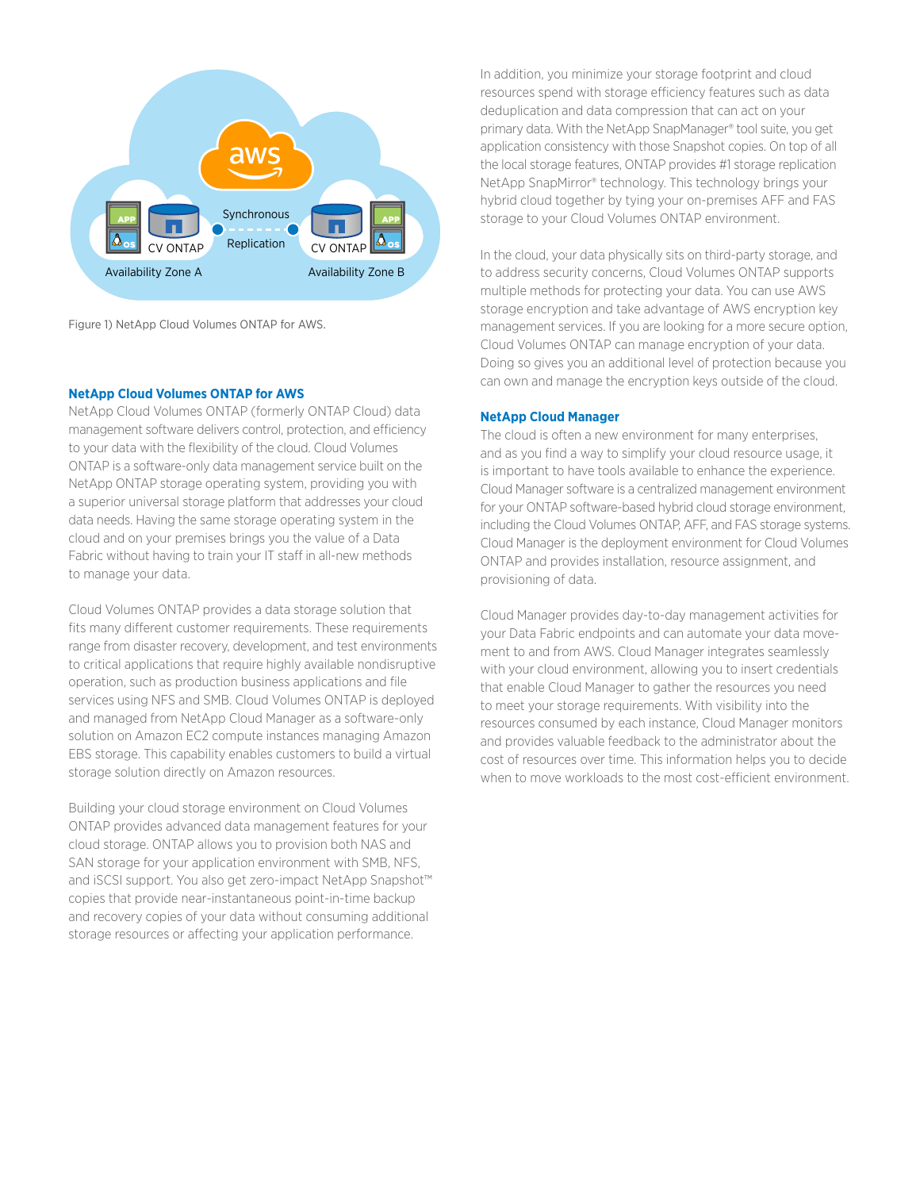

Figure 1) NetApp Cloud Volumes ONTAP for AWS.

#### **NetApp Cloud Volumes ONTAP for AWS**

NetApp Cloud Volumes ONTAP (formerly ONTAP Cloud) data management software delivers control, protection, and efficiency to your data with the flexibility of the cloud. Cloud Volumes ONTAP is a software-only data management service built on the NetApp ONTAP storage operating system, providing you with a superior universal storage platform that addresses your cloud data needs. Having the same storage operating system in the cloud and on your premises brings you the value of a Data Fabric without having to train your IT staff in all-new methods to manage your data.

Cloud Volumes ONTAP provides a data storage solution that fits many different customer requirements. These requirements range from disaster recovery, development, and test environments to critical applications that require highly available nondisruptive operation, such as production business applications and file services using NFS and SMB. Cloud Volumes ONTAP is deployed and managed from NetApp Cloud Manager as a software-only solution on Amazon EC2 compute instances managing Amazon EBS storage. This capability enables customers to build a virtual storage solution directly on Amazon resources.

Building your cloud storage environment on Cloud Volumes ONTAP provides advanced data management features for your cloud storage. ONTAP allows you to provision both NAS and SAN storage for your application environment with SMB, NFS, and iSCSI support. You also get zero-impact NetApp Snapshot™ copies that provide near-instantaneous point-in-time backup and recovery copies of your data without consuming additional storage resources or affecting your application performance.

In addition, you minimize your storage footprint and cloud resources spend with storage efficiency features such as data deduplication and data compression that can act on your primary data. With the NetApp SnapManager® tool suite, you get application consistency with those Snapshot copies. On top of all the local storage features, ONTAP provides #1 storage replication NetApp SnapMirror® technology. This technology brings your hybrid cloud together by tying your on-premises AFF and FAS storage to your Cloud Volumes ONTAP environment.

In the cloud, your data physically sits on third-party storage, and to address security concerns, Cloud Volumes ONTAP supports multiple methods for protecting your data. You can use AWS storage encryption and take advantage of AWS encryption key management services. If you are looking for a more secure option, Cloud Volumes ONTAP can manage encryption of your data. Doing so gives you an additional level of protection because you can own and manage the encryption keys outside of the cloud.

#### **NetApp Cloud Manager**

The cloud is often a new environment for many enterprises, and as you find a way to simplify your cloud resource usage, it is important to have tools available to enhance the experience. Cloud Manager software is a centralized management environment for your ONTAP software-based hybrid cloud storage environment, including the Cloud Volumes ONTAP, AFF, and FAS storage systems. Cloud Manager is the deployment environment for Cloud Volumes ONTAP and provides installation, resource assignment, and provisioning of data.

Cloud Manager provides day-to-day management activities for your Data Fabric endpoints and can automate your data movement to and from AWS. Cloud Manager integrates seamlessly with your cloud environment, allowing you to insert credentials that enable Cloud Manager to gather the resources you need to meet your storage requirements. With visibility into the resources consumed by each instance, Cloud Manager monitors and provides valuable feedback to the administrator about the cost of resources over time. This information helps you to decide when to move workloads to the most cost-efficient environment.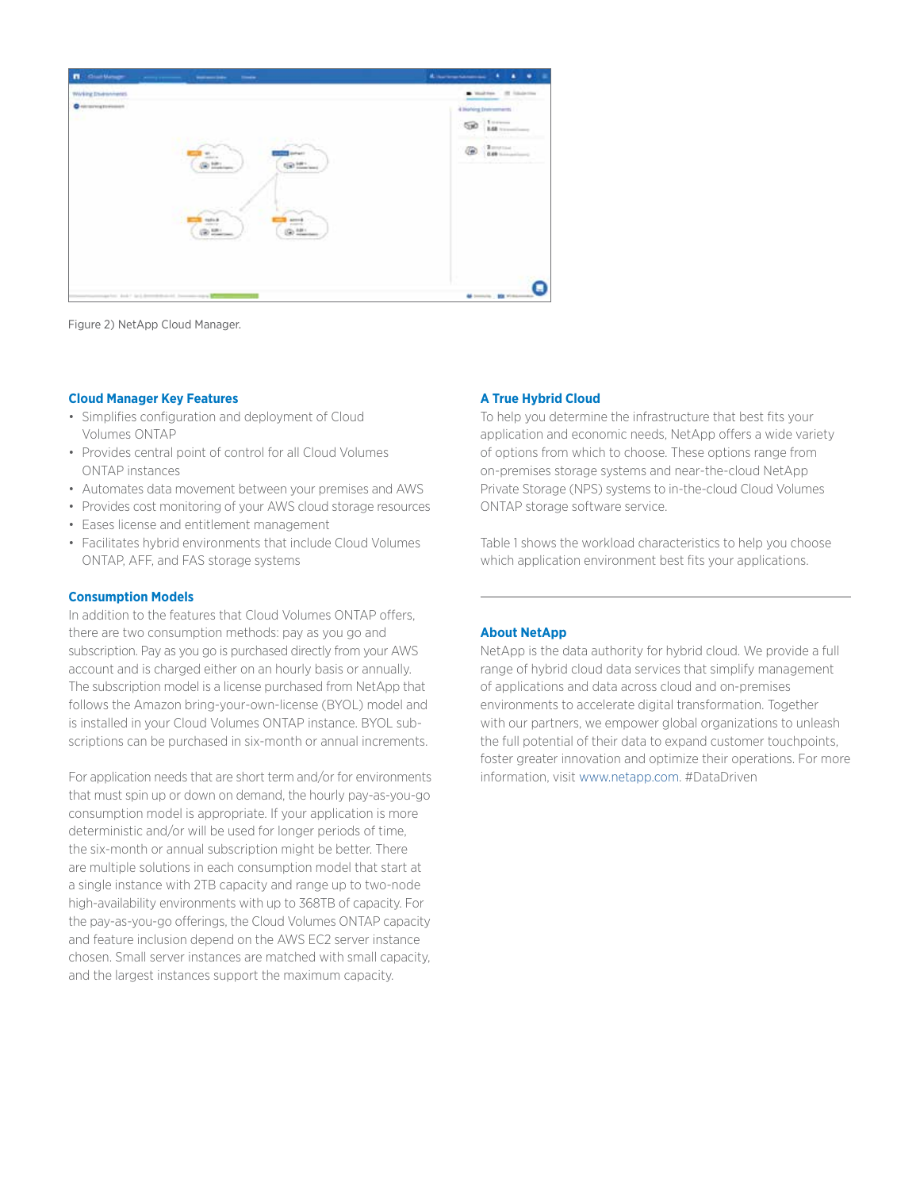

Figure 2) NetApp Cloud Manager.

#### **Cloud Manager Key Features**

- Simplifies configuration and deployment of Cloud Volumes ONTAP
- Provides central point of control for all Cloud Volumes ONTAP instances
- Automates data movement between your premises and AWS
- Provides cost monitoring of your AWS cloud storage resources
- Eases license and entitlement management
- Facilitates hybrid environments that include Cloud Volumes ONTAP, AFF, and FAS storage systems

### **Consumption Models**

In addition to the features that Cloud Volumes ONTAP offers, there are two consumption methods: pay as you go and subscription. Pay as you go is purchased directly from your AWS account and is charged either on an hourly basis or annually. The subscription model is a license purchased from NetApp that follows the Amazon bring-your-own-license (BYOL) model and is installed in your Cloud Volumes ONTAP instance. BYOL subscriptions can be purchased in six-month or annual increments.

For application needs that are short term and/or for environments that must spin up or down on demand, the hourly pay-as-you-go consumption model is appropriate. If your application is more deterministic and/or will be used for longer periods of time, the six-month or annual subscription might be better. There are multiple solutions in each consumption model that start at a single instance with 2TB capacity and range up to two-node high-availability environments with up to 368TB of capacity. For the pay-as-you-go offerings, the Cloud Volumes ONTAP capacity and feature inclusion depend on the AWS EC2 server instance chosen. Small server instances are matched with small capacity, and the largest instances support the maximum capacity.

# **A True Hybrid Cloud**

To help you determine the infrastructure that best fits your application and economic needs, NetApp offers a wide variety of options from which to choose. These options range from on-premises storage systems and near-the-cloud NetApp Private Storage (NPS) systems to in-the-cloud Cloud Volumes ONTAP storage software service.

Table 1 shows the workload characteristics to help you choose which application environment best fits your applications.

# **About NetApp**

NetApp is the data authority for hybrid cloud. We provide a full range of hybrid cloud data services that simplify management of applications and data across cloud and on-premises environments to accelerate digital transformation. Together with our partners, we empower global organizations to unleash the full potential of their data to expand customer touchpoints, foster greater innovation and optimize their operations. For more information, visit [www.netapp.com](http://www.netapp.com). #DataDriven